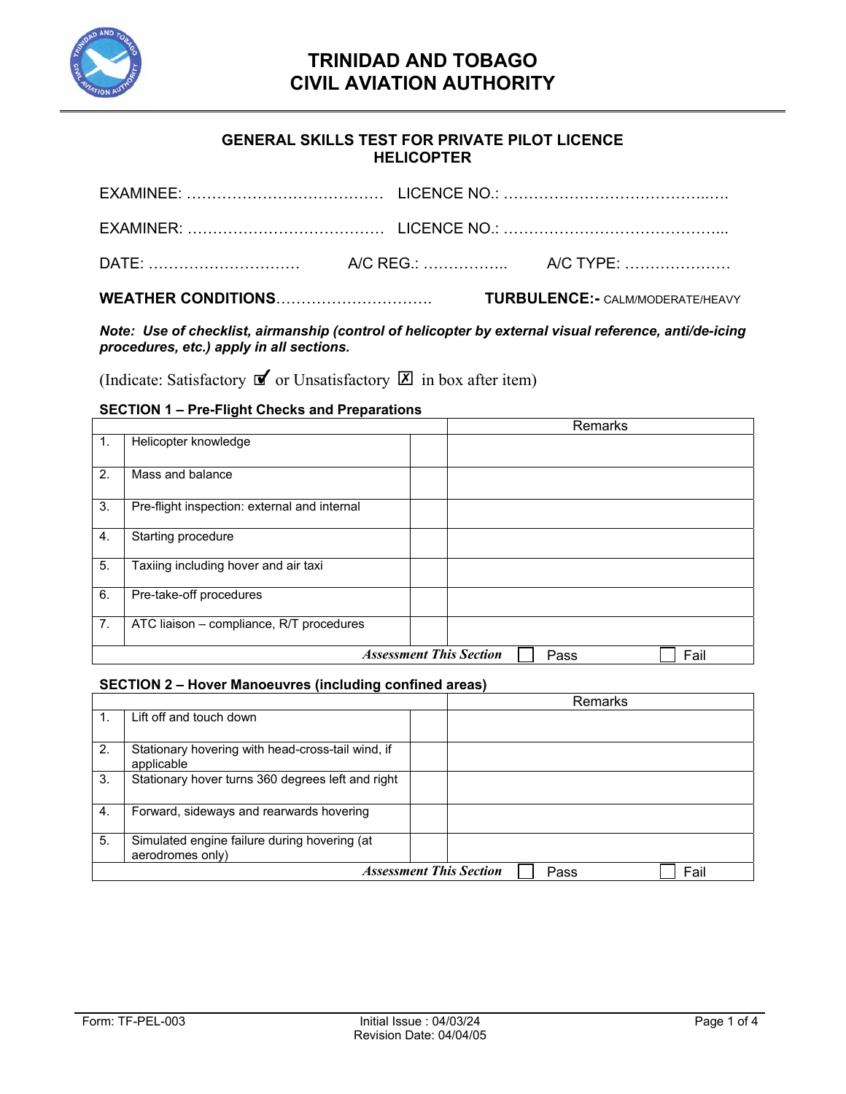

### **GENERAL SKILLS TEST FOR PRIVATE PILOT LICENCE HELICOPTER**

|  | <b>TURBULENCE:- CALM/MODERATE/HEAVY</b> |
|--|-----------------------------------------|
|  |                                         |
|  |                                         |
|  |                                         |

*Note: Use of checklist, airmanship (control of helicopter by external visual reference, anti/de-icing procedures, etc.) apply in all sections.* 

(Indicate: Satisfactory  $\mathbf{\nabla}$  or Unsatisfactory  $\mathbf{\nabla}$  in box after item)

### **SECTION 1 – Pre-Flight Checks and Preparations**

|    | <u>020.1011   101.1911.01.001.001.01.0001.0001.01.0</u> |  |  |  | Remarks |  |
|----|---------------------------------------------------------|--|--|--|---------|--|
| 1. | Helicopter knowledge                                    |  |  |  |         |  |
| 2. | Mass and balance                                        |  |  |  |         |  |
| 3. | Pre-flight inspection: external and internal            |  |  |  |         |  |
| 4. | Starting procedure                                      |  |  |  |         |  |
| 5. | Taxiing including hover and air taxi                    |  |  |  |         |  |
| 6. | Pre-take-off procedures                                 |  |  |  |         |  |
| 7. | ATC liaison - compliance, R/T procedures                |  |  |  |         |  |
|    | <b>Assessment This Section</b><br>Fail<br>Pass          |  |  |  |         |  |

#### **SECTION 2 – Hover Manoeuvres (including confined areas)**

|    |                                                                  |                                | Remarks |      |
|----|------------------------------------------------------------------|--------------------------------|---------|------|
|    | Lift off and touch down                                          |                                |         |      |
| 2. | Stationary hovering with head-cross-tail wind, if<br>applicable  |                                |         |      |
| 3. | Stationary hover turns 360 degrees left and right                |                                |         |      |
| 4. | Forward, sideways and rearwards hovering                         |                                |         |      |
| 5. | Simulated engine failure during hovering (at<br>aerodromes only) |                                |         |      |
|    |                                                                  | <b>Assessment This Section</b> | Pass    | Fail |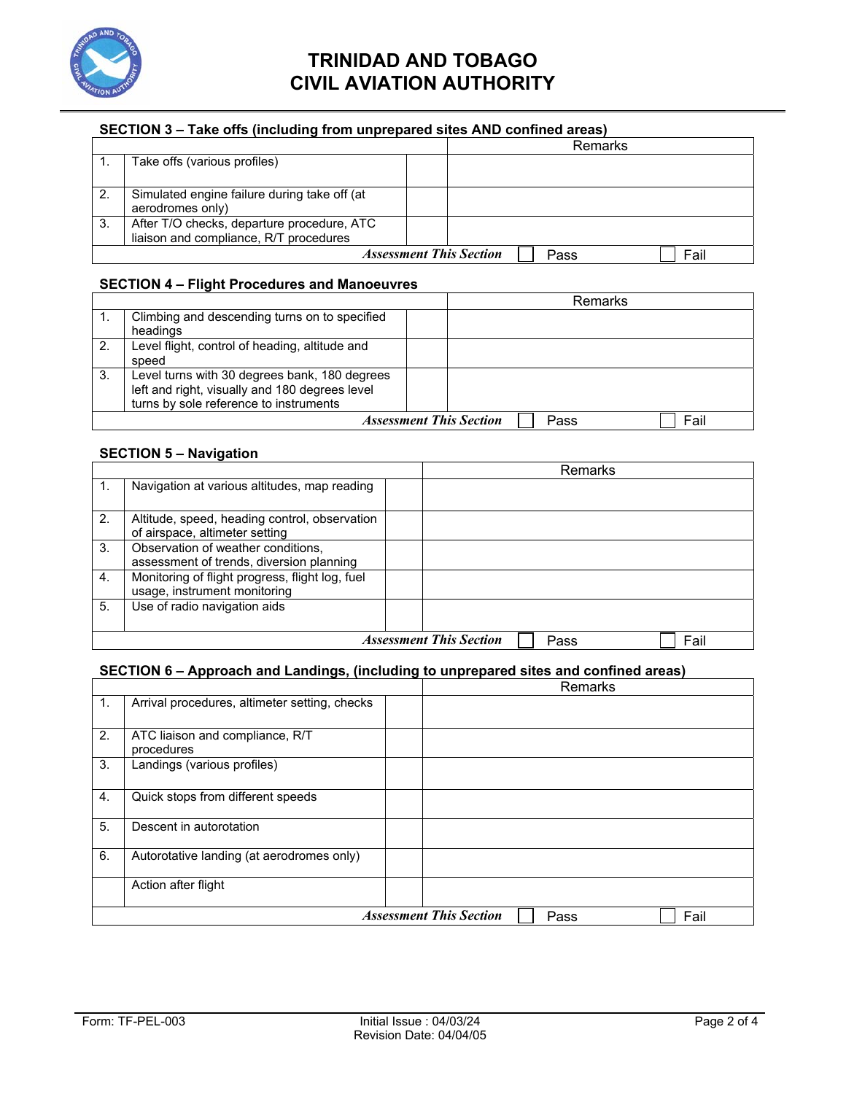

#### **SECTION 3 – Take offs (including from unprepared sites AND confined areas)**

|                                |                                                                                      |  |      | Remarks |
|--------------------------------|--------------------------------------------------------------------------------------|--|------|---------|
|                                | Take offs (various profiles)                                                         |  |      |         |
| 2.                             | Simulated engine failure during take off (at<br>aerodromes only)                     |  |      |         |
| -3.                            | After T/O checks, departure procedure, ATC<br>liaison and compliance, R/T procedures |  |      |         |
| <b>Assessment This Section</b> |                                                                                      |  | Pass | Fail    |

### **SECTION 4 – Flight Procedures and Manoeuvres**

|                |                                                |                                | Remarks |      |  |
|----------------|------------------------------------------------|--------------------------------|---------|------|--|
|                | Climbing and descending turns on to specified  |                                |         |      |  |
|                | headings                                       |                                |         |      |  |
| 2 <sub>1</sub> | Level flight, control of heading, altitude and |                                |         |      |  |
|                | speed                                          |                                |         |      |  |
| 3.             | Level turns with 30 degrees bank, 180 degrees  |                                |         |      |  |
|                | left and right, visually and 180 degrees level |                                |         |      |  |
|                | turns by sole reference to instruments         |                                |         |      |  |
|                |                                                | <b>Assessment This Section</b> | Pass    | Fail |  |

#### **SECTION 5 – Navigation**

|    |                                                                                 |  |  | Remarks |  |
|----|---------------------------------------------------------------------------------|--|--|---------|--|
|    | Navigation at various altitudes, map reading                                    |  |  |         |  |
| 2. | Altitude, speed, heading control, observation<br>of airspace, altimeter setting |  |  |         |  |
| 3. | Observation of weather conditions,<br>assessment of trends, diversion planning  |  |  |         |  |
| 4. | Monitoring of flight progress, flight log, fuel<br>usage, instrument monitoring |  |  |         |  |
| 5. | Use of radio navigation aids                                                    |  |  |         |  |
|    | <b>Assessment This Section</b><br>Fail<br>Pass                                  |  |  |         |  |

#### **SECTION 6 – Approach and Landings, (including to unprepared sites and confined areas)**

|    |                                                |  | Remarks |  |  |  |
|----|------------------------------------------------|--|---------|--|--|--|
| 1. | Arrival procedures, altimeter setting, checks  |  |         |  |  |  |
| 2. | ATC liaison and compliance, R/T<br>procedures  |  |         |  |  |  |
| 3. | Landings (various profiles)                    |  |         |  |  |  |
| 4. | Quick stops from different speeds              |  |         |  |  |  |
| 5. | Descent in autorotation                        |  |         |  |  |  |
| 6. | Autorotative landing (at aerodromes only)      |  |         |  |  |  |
|    | Action after flight                            |  |         |  |  |  |
|    | <b>Assessment This Section</b><br>Fail<br>Pass |  |         |  |  |  |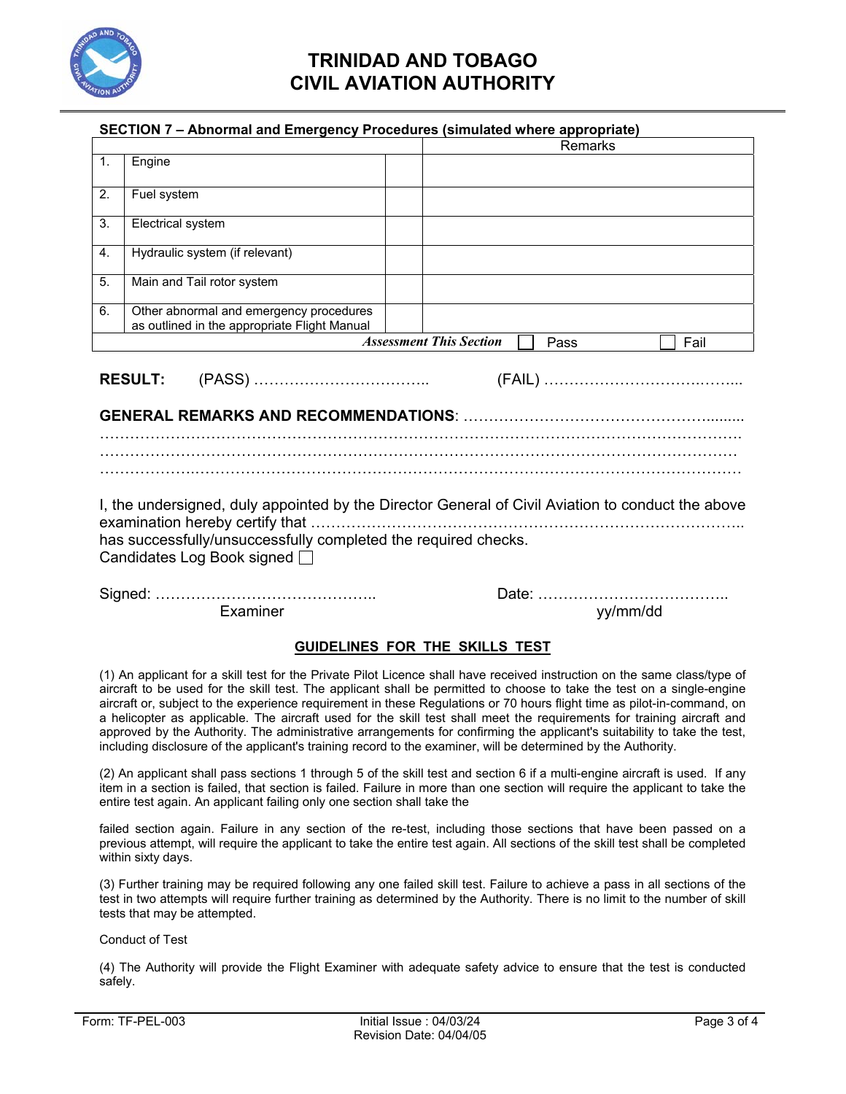

#### **SECTION 7 – Abnormal and Emergency Procedures (simulated where appropriate)**

|                                                                                                                                                                                                     |                                                                                         |  | Remarks                                        |  |  |
|-----------------------------------------------------------------------------------------------------------------------------------------------------------------------------------------------------|-----------------------------------------------------------------------------------------|--|------------------------------------------------|--|--|
| $\mathbf{1}$ .                                                                                                                                                                                      | Engine                                                                                  |  |                                                |  |  |
| 2.                                                                                                                                                                                                  | Fuel system                                                                             |  |                                                |  |  |
| 3.                                                                                                                                                                                                  | Electrical system                                                                       |  |                                                |  |  |
| 4.                                                                                                                                                                                                  | Hydraulic system (if relevant)                                                          |  |                                                |  |  |
| 5.                                                                                                                                                                                                  | Main and Tail rotor system                                                              |  |                                                |  |  |
| 6.                                                                                                                                                                                                  | Other abnormal and emergency procedures<br>as outlined in the appropriate Flight Manual |  |                                                |  |  |
|                                                                                                                                                                                                     |                                                                                         |  | <b>Assessment This Section</b><br>Fail<br>Pass |  |  |
| <b>RESULT:</b>                                                                                                                                                                                      |                                                                                         |  |                                                |  |  |
| I, the undersigned, duly appointed by the Director General of Civil Aviation to conduct the above<br>has successfully/unsuccessfully completed the required checks.<br>Candidates Log Book signed □ |                                                                                         |  |                                                |  |  |
|                                                                                                                                                                                                     | Examiner                                                                                |  | yy/mm/dd                                       |  |  |

#### **GUIDELINES FOR THE SKILLS TEST**

(1) An applicant for a skill test for the Private Pilot Licence shall have received instruction on the same class/type of aircraft to be used for the skill test. The applicant shall be permitted to choose to take the test on a single-engine aircraft or, subject to the experience requirement in these Regulations or 70 hours flight time as pilot-in-command, on a helicopter as applicable. The aircraft used for the skill test shall meet the requirements for training aircraft and approved by the Authority. The administrative arrangements for confirming the applicant's suitability to take the test, including disclosure of the applicant's training record to the examiner, will be determined by the Authority.

(2) An applicant shall pass sections 1 through 5 of the skill test and section 6 if a multi-engine aircraft is used. If any item in a section is failed, that section is failed. Failure in more than one section will require the applicant to take the entire test again. An applicant failing only one section shall take the

failed section again. Failure in any section of the re-test, including those sections that have been passed on a previous attempt, will require the applicant to take the entire test again. All sections of the skill test shall be completed within sixty days.

(3) Further training may be required following any one failed skill test. Failure to achieve a pass in all sections of the test in two attempts will require further training as determined by the Authority. There is no limit to the number of skill tests that may be attempted.

Conduct of Test

(4) The Authority will provide the Flight Examiner with adequate safety advice to ensure that the test is conducted safely.